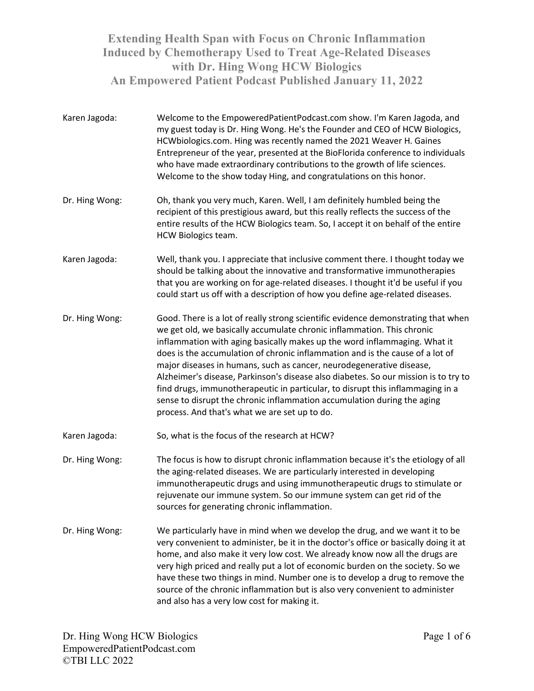- Karen Jagoda: Welcome to the EmpoweredPatientPodcast.com show. I'm Karen Jagoda, and my guest today is Dr. Hing Wong. He's the Founder and CEO of HCW Biologics, HCWbiologics.com. Hing was recently named the 2021 Weaver H. Gaines Entrepreneur of the year, presented at the BioFlorida conference to individuals who have made extraordinary contributions to the growth of life sciences. Welcome to the show today Hing, and congratulations on this honor.
- Dr. Hing Wong: Oh, thank you very much, Karen. Well, I am definitely humbled being the recipient of this prestigious award, but this really reflects the success of the entire results of the HCW Biologics team. So, I accept it on behalf of the entire HCW Biologics team.
- Karen Jagoda: Well, thank you. I appreciate that inclusive comment there. I thought today we should be talking about the innovative and transformative immunotherapies that you are working on for age-related diseases. I thought it'd be useful if you could start us off with a description of how you define age-related diseases.
- Dr. Hing Wong: Good. There is a lot of really strong scientific evidence demonstrating that when we get old, we basically accumulate chronic inflammation. This chronic inflammation with aging basically makes up the word inflammaging. What it does is the accumulation of chronic inflammation and is the cause of a lot of major diseases in humans, such as cancer, neurodegenerative disease, Alzheimer's disease, Parkinson's disease also diabetes. So our mission is to try to find drugs, immunotherapeutic in particular, to disrupt this inflammaging in a sense to disrupt the chronic inflammation accumulation during the aging process. And that's what we are set up to do.
- Karen Jagoda: So, what is the focus of the research at HCW?
- Dr. Hing Wong: The focus is how to disrupt chronic inflammation because it's the etiology of all the aging-related diseases. We are particularly interested in developing immunotherapeutic drugs and using immunotherapeutic drugs to stimulate or rejuvenate our immune system. So our immune system can get rid of the sources for generating chronic inflammation.
- Dr. Hing Wong: We particularly have in mind when we develop the drug, and we want it to be very convenient to administer, be it in the doctor's office or basically doing it at home, and also make it very low cost. We already know now all the drugs are very high priced and really put a lot of economic burden on the society. So we have these two things in mind. Number one is to develop a drug to remove the source of the chronic inflammation but is also very convenient to administer and also has a very low cost for making it.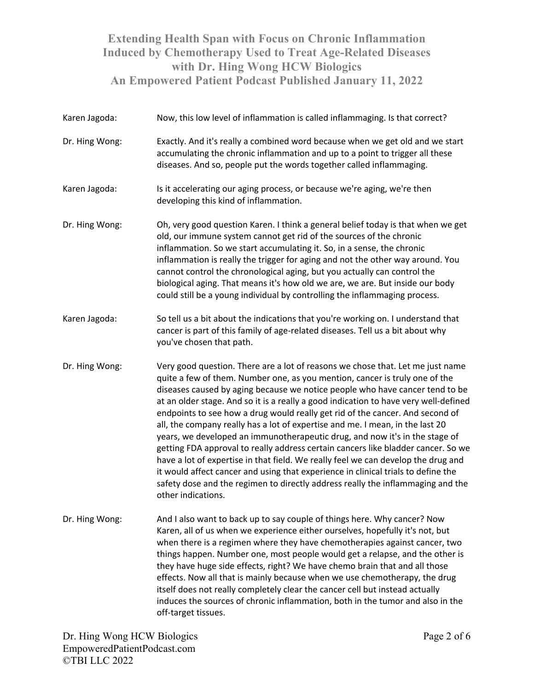Karen Jagoda: Now, this low level of inflammation is called inflammaging. Is that correct? Dr. Hing Wong: Exactly. And it's really a combined word because when we get old and we start accumulating the chronic inflammation and up to a point to trigger all these diseases. And so, people put the words together called inflammaging. Karen Jagoda: Is it accelerating our aging process, or because we're aging, we're then developing this kind of inflammation. Dr. Hing Wong: Oh, very good question Karen. I think a general belief today is that when we get old, our immune system cannot get rid of the sources of the chronic inflammation. So we start accumulating it. So, in a sense, the chronic inflammation is really the trigger for aging and not the other way around. You cannot control the chronological aging, but you actually can control the biological aging. That means it's how old we are, we are. But inside our body could still be a young individual by controlling the inflammaging process. Karen Jagoda: So tell us a bit about the indications that you're working on. I understand that cancer is part of this family of age-related diseases. Tell us a bit about why you've chosen that path. Dr. Hing Wong: Very good question. There are a lot of reasons we chose that. Let me just name quite a few of them. Number one, as you mention, cancer is truly one of the diseases caused by aging because we notice people who have cancer tend to be at an older stage. And so it is a really a good indication to have very well-defined endpoints to see how a drug would really get rid of the cancer. And second of all, the company really has a lot of expertise and me. I mean, in the last 20 years, we developed an immunotherapeutic drug, and now it's in the stage of getting FDA approval to really address certain cancers like bladder cancer. So we have a lot of expertise in that field. We really feel we can develop the drug and it would affect cancer and using that experience in clinical trials to define the safety dose and the regimen to directly address really the inflammaging and the other indications. Dr. Hing Wong: And I also want to back up to say couple of things here. Why cancer? Now Karen, all of us when we experience either ourselves, hopefully it's not, but when there is a regimen where they have chemotherapies against cancer, two things happen. Number one, most people would get a relapse, and the other is they have huge side effects, right? We have chemo brain that and all those effects. Now all that is mainly because when we use chemotherapy, the drug itself does not really completely clear the cancer cell but instead actually induces the sources of chronic inflammation, both in the tumor and also in the off-target tissues.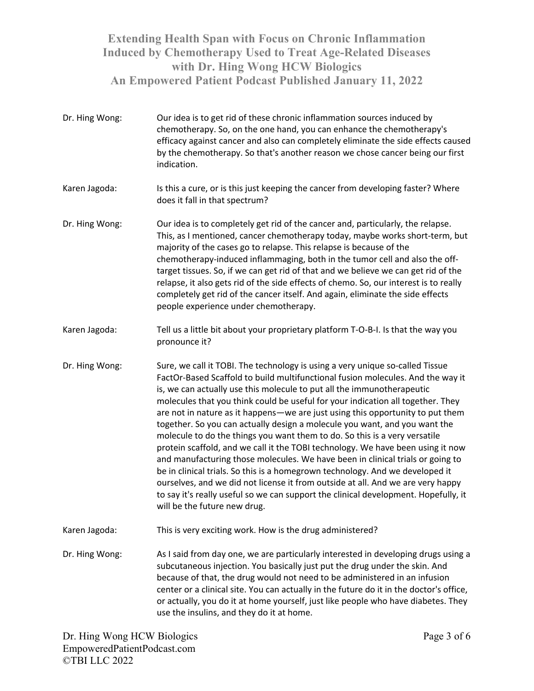Dr. Hing Wong: Our idea is to get rid of these chronic inflammation sources induced by chemotherapy. So, on the one hand, you can enhance the chemotherapy's efficacy against cancer and also can completely eliminate the side effects caused by the chemotherapy. So that's another reason we chose cancer being our first indication. Karen Jagoda: Is this a cure, or is this just keeping the cancer from developing faster? Where does it fall in that spectrum? Dr. Hing Wong: Our idea is to completely get rid of the cancer and, particularly, the relapse. This, as I mentioned, cancer chemotherapy today, maybe works short-term, but majority of the cases go to relapse. This relapse is because of the chemotherapy-induced inflammaging, both in the tumor cell and also the offtarget tissues. So, if we can get rid of that and we believe we can get rid of the relapse, it also gets rid of the side effects of chemo. So, our interest is to really completely get rid of the cancer itself. And again, eliminate the side effects people experience under chemotherapy. Karen Jagoda: Tell us a little bit about your proprietary platform T-O-B-I. Is that the way you pronounce it? Dr. Hing Wong: Sure, we call it TOBI. The technology is using a very unique so-called Tissue FactOr-Based Scaffold to build multifunctional fusion molecules. And the way it is, we can actually use this molecule to put all the immunotherapeutic molecules that you think could be useful for your indication all together. They are not in nature as it happens—we are just using this opportunity to put them together. So you can actually design a molecule you want, and you want the molecule to do the things you want them to do. So this is a very versatile protein scaffold, and we call it the TOBI technology. We have been using it now and manufacturing those molecules. We have been in clinical trials or going to be in clinical trials. So this is a homegrown technology. And we developed it ourselves, and we did not license it from outside at all. And we are very happy to say it's really useful so we can support the clinical development. Hopefully, it will be the future new drug. Karen Jagoda: This is very exciting work. How is the drug administered? Dr. Hing Wong: As I said from day one, we are particularly interested in developing drugs using a subcutaneous injection. You basically just put the drug under the skin. And because of that, the drug would not need to be administered in an infusion center or a clinical site. You can actually in the future do it in the doctor's office, or actually, you do it at home yourself, just like people who have diabetes. They use the insulins, and they do it at home.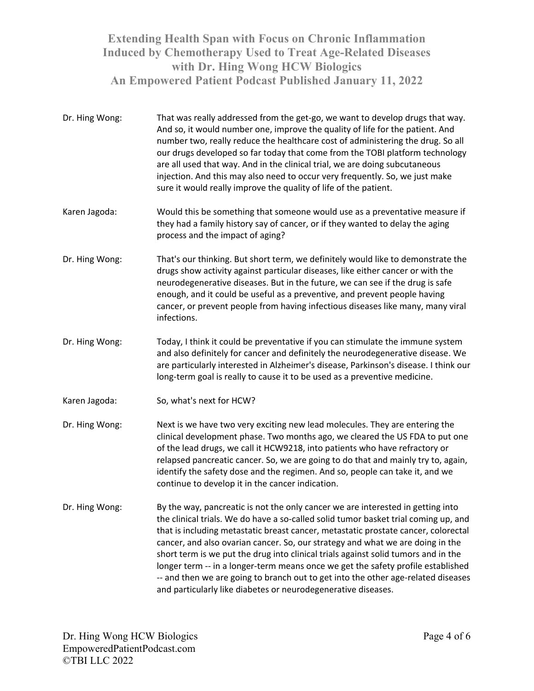- Dr. Hing Wong: That was really addressed from the get-go, we want to develop drugs that way. And so, it would number one, improve the quality of life for the patient. And number two, really reduce the healthcare cost of administering the drug. So all our drugs developed so far today that come from the TOBI platform technology are all used that way. And in the clinical trial, we are doing subcutaneous injection. And this may also need to occur very frequently. So, we just make sure it would really improve the quality of life of the patient. Karen Jagoda: Would this be something that someone would use as a preventative measure if they had a family history say of cancer, or if they wanted to delay the aging process and the impact of aging? Dr. Hing Wong: That's our thinking. But short term, we definitely would like to demonstrate the drugs show activity against particular diseases, like either cancer or with the neurodegenerative diseases. But in the future, we can see if the drug is safe enough, and it could be useful as a preventive, and prevent people having cancer, or prevent people from having infectious diseases like many, many viral infections. Dr. Hing Wong: Today, I think it could be preventative if you can stimulate the immune system and also definitely for cancer and definitely the neurodegenerative disease. We are particularly interested in Alzheimer's disease, Parkinson's disease. I think our long-term goal is really to cause it to be used as a preventive medicine. Karen Jagoda: So, what's next for HCW? Dr. Hing Wong: Next is we have two very exciting new lead molecules. They are entering the clinical development phase. Two months ago, we cleared the US FDA to put one of the lead drugs, we call it HCW9218, into patients who have refractory or relapsed pancreatic cancer. So, we are going to do that and mainly try to, again, identify the safety dose and the regimen. And so, people can take it, and we continue to develop it in the cancer indication. Dr. Hing Wong: By the way, pancreatic is not the only cancer we are interested in getting into the clinical trials. We do have a so-called solid tumor basket trial coming up, and that is including metastatic breast cancer, metastatic prostate cancer, colorectal cancer, and also ovarian cancer. So, our strategy and what we are doing in the short term is we put the drug into clinical trials against solid tumors and in the longer term -- in a longer-term means once we get the safety profile established
	- -- and then we are going to branch out to get into the other age-related diseases and particularly like diabetes or neurodegenerative diseases.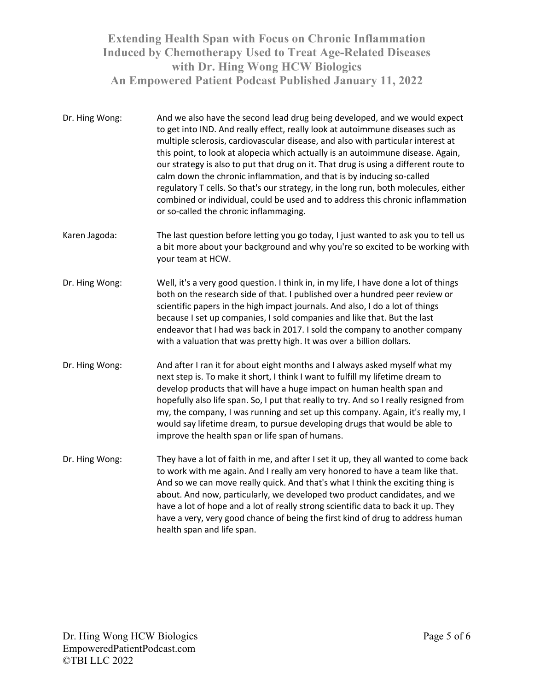- Dr. Hing Wong: And we also have the second lead drug being developed, and we would expect to get into IND. And really effect, really look at autoimmune diseases such as multiple sclerosis, cardiovascular disease, and also with particular interest at this point, to look at alopecia which actually is an autoimmune disease. Again, our strategy is also to put that drug on it. That drug is using a different route to calm down the chronic inflammation, and that is by inducing so-called regulatory T cells. So that's our strategy, in the long run, both molecules, either combined or individual, could be used and to address this chronic inflammation or so-called the chronic inflammaging.
- Karen Jagoda: The last question before letting you go today, I just wanted to ask you to tell us a bit more about your background and why you're so excited to be working with your team at HCW.
- Dr. Hing Wong: Well, it's a very good question. I think in, in my life, I have done a lot of things both on the research side of that. I published over a hundred peer review or scientific papers in the high impact journals. And also, I do a lot of things because I set up companies, I sold companies and like that. But the last endeavor that I had was back in 2017. I sold the company to another company with a valuation that was pretty high. It was over a billion dollars.
- Dr. Hing Wong: And after I ran it for about eight months and I always asked myself what my next step is. To make it short, I think I want to fulfill my lifetime dream to develop products that will have a huge impact on human health span and hopefully also life span. So, I put that really to try. And so I really resigned from my, the company, I was running and set up this company. Again, it's really my, I would say lifetime dream, to pursue developing drugs that would be able to improve the health span or life span of humans.
- Dr. Hing Wong: They have a lot of faith in me, and after I set it up, they all wanted to come back to work with me again. And I really am very honored to have a team like that. And so we can move really quick. And that's what I think the exciting thing is about. And now, particularly, we developed two product candidates, and we have a lot of hope and a lot of really strong scientific data to back it up. They have a very, very good chance of being the first kind of drug to address human health span and life span.